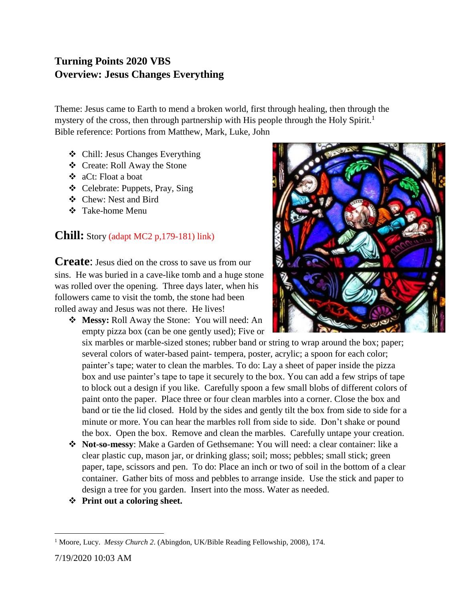## **Turning Points 2020 VBS Overview: Jesus Changes Everything**

Theme: Jesus came to Earth to mend a broken world, first through healing, then through the mystery of the cross, then through partnership with His people through the Holy Spirit.<sup>1</sup> Bible reference: Portions from Matthew, Mark, Luke, John

- ❖ Chill: Jesus Changes Everything
- ❖ Create: Roll Away the Stone
- ❖ aCt: Float a boat
- ❖ Celebrate: Puppets, Pray, Sing
- ❖ Chew: Nest and Bird
- ❖ Take-home Menu

## **Chill:** Story (adapt MC2 p,179-181) link)

**Create:** Jesus died on the cross to save us from our sins. He was buried in a cave-like tomb and a huge stone was rolled over the opening. Three days later, when his followers came to visit the tomb, the stone had been rolled away and Jesus was not there. He lives!

❖ **Messy:** Roll Away the Stone: You will need: An empty pizza box (can be one gently used); Five or

six marbles or marble-sized stones; rubber band or string to wrap around the box; paper; several colors of water-based paint- tempera, poster, acrylic; a spoon for each color; painter's tape; water to clean the marbles. To do: Lay a sheet of paper inside the pizza box and use painter's tape to tape it securely to the box. You can add a few strips of tape to block out a design if you like. Carefully spoon a few small blobs of different colors of paint onto the paper. Place three or four clean marbles into a corner. Close the box and band or tie the lid closed. Hold by the sides and gently tilt the box from side to side for a minute or more. You can hear the marbles roll from side to side. Don't shake or pound the box. Open the box. Remove and clean the marbles. Carefully untape your creation.

- ❖ **Not-so-messy**: Make a Garden of Gethsemane: You will need: a clear container: like a clear plastic cup, mason jar, or drinking glass; soil; moss; pebbles; small stick; green paper, tape, scissors and pen. To do: Place an inch or two of soil in the bottom of a clear container. Gather bits of moss and pebbles to arrange inside. Use the stick and paper to design a tree for you garden. Insert into the moss. Water as needed.
- ❖ **Print out a coloring sheet.**



 $\overline{a}$ <sup>1</sup> Moore, Lucy. *Messy Church 2*. (Abingdon, UK/Bible Reading Fellowship, 2008), 174.